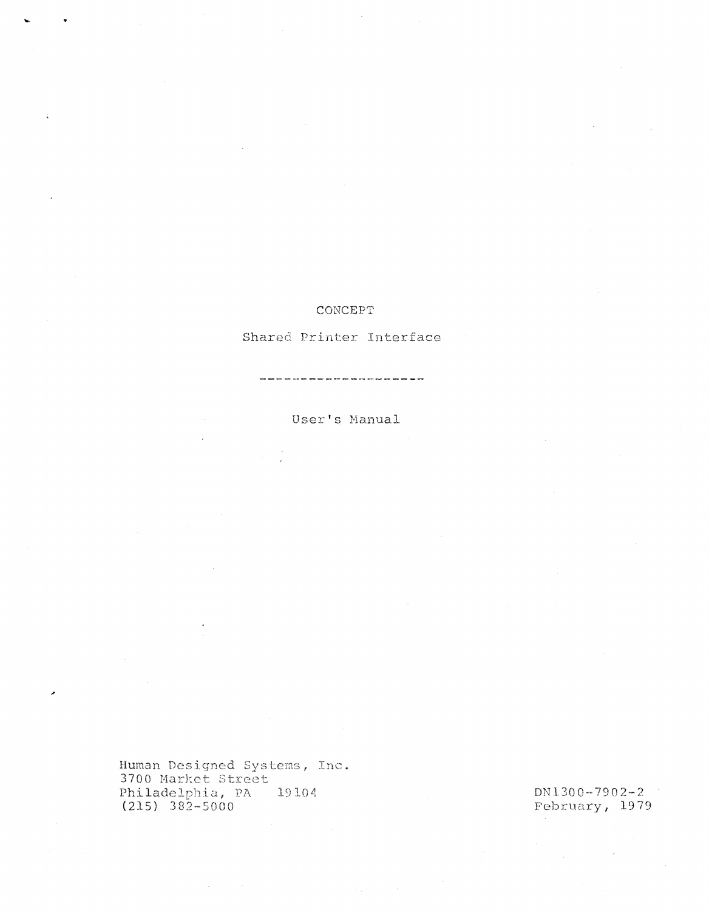### CONCEPT

Shared Printer Interface

User's Manual

Human Designed Systems, Inc.<br>3700 Market Street Philadelphia, PA 19104<br>(215) 382-5000

DN1300-7902-2 February, 1979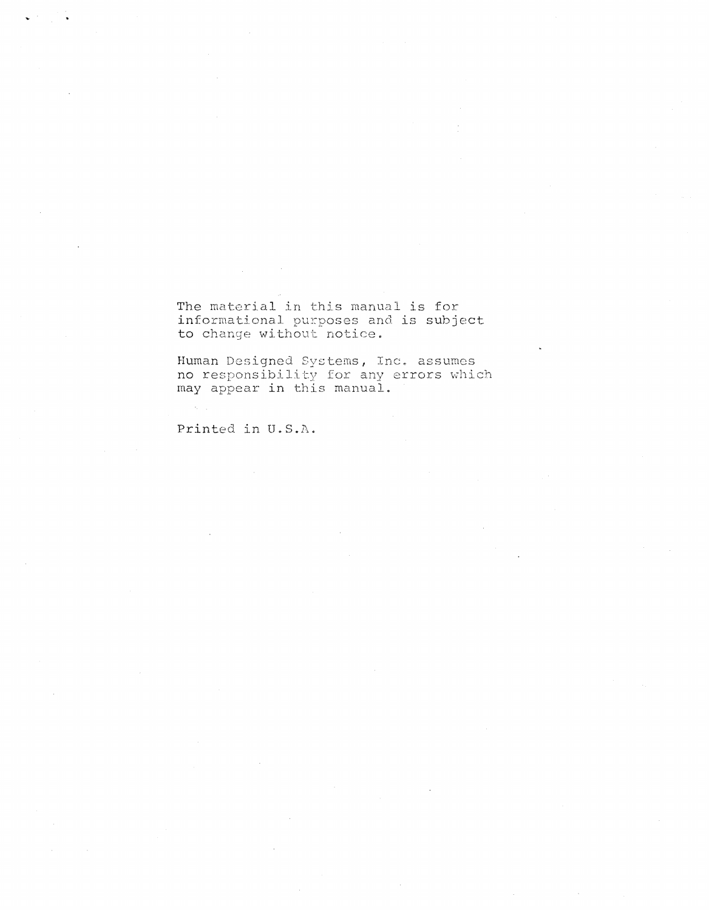The material in this manual is for informational purposes and is subject to change without notice.

Human Designed Systems, Inc. assumes no responsibility for any errors which may appear **in** this manual.

Printed in U.S.A.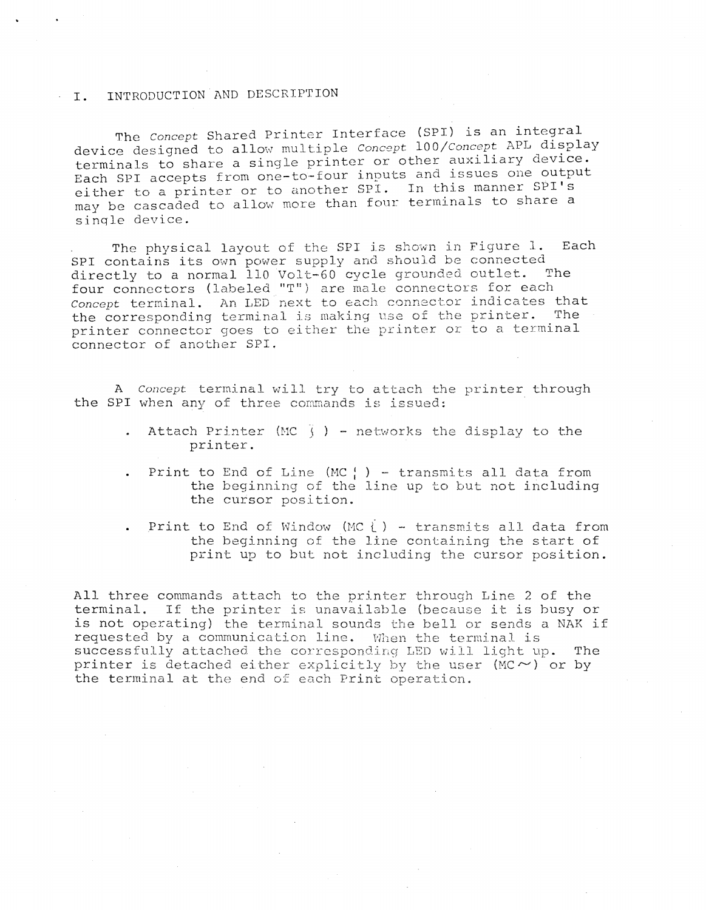#### **I.** INTRODUCTION AND DESCRIPTION

The *concept* Shared Printer Interface (SPI) is an integral device designed to allow multiple *Concept* 100/*Concept* APL display terminals to share a single printer or other auxiliary device. Each SPI accepts from one-to-four inputs and issues one output either to a printer or to another SPI. In this manner SPI's may be cascaded to allow more than four terminals to share a sinqle device.

The physical layout of the SPI is shown in Figure 1. Each SPI contains its own power supply and should be connected directly to a normal 110 Volt-GO cycle grounded outlet. The four connectors (labeled "T") are male connectors for each *Concept* terminal. An LED next to each connector indicates that<br>the corresponding terminal is making use of the printer. The the corresponding terminal is making use of the printer. printer connector goes to either the printer or to a terminal connector of another SPI.

<sup>A</sup>*Concept* terminal will try to attach the printer through the SPI when any of three commands is issued:

- Attach Printer (MC  $\frac{1}{3}$  ) networks the display to the printer.
- Print to End of Line (MC $'$ ) transmits all data from the beginning of the line up to but not including the cursor position.
- Print to End of Window (MC  $)$  transmits all data from the beginning of the line containing the start of end suggamming of the fanc concerning the start of

All three commands attach to the printer through Line 2 of the terminal. If the printer is unavailable (because it is busy or is not operating) the terminal sounds the bell or sends a NAK if requested by a communication line. When the terminal is successfully attached the corresponding LED will light up. The printer is detached either explicitly by the user (MC $\sim$ ) or by the terminal at the end of each Print operation.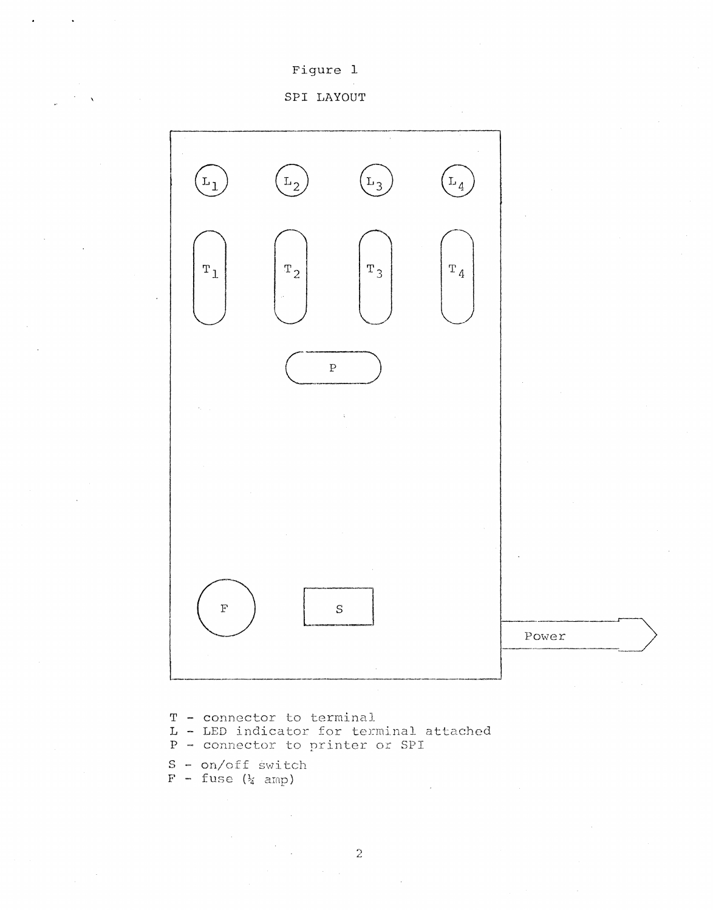### Figure 1

#### SPI LAYOUT



- T connector to terminal
- L LED indicator for terminal attached
- P connector to printer or SPI
- S on/off switch<br>F fuse  $(\frac{1}{4}$  amp)
-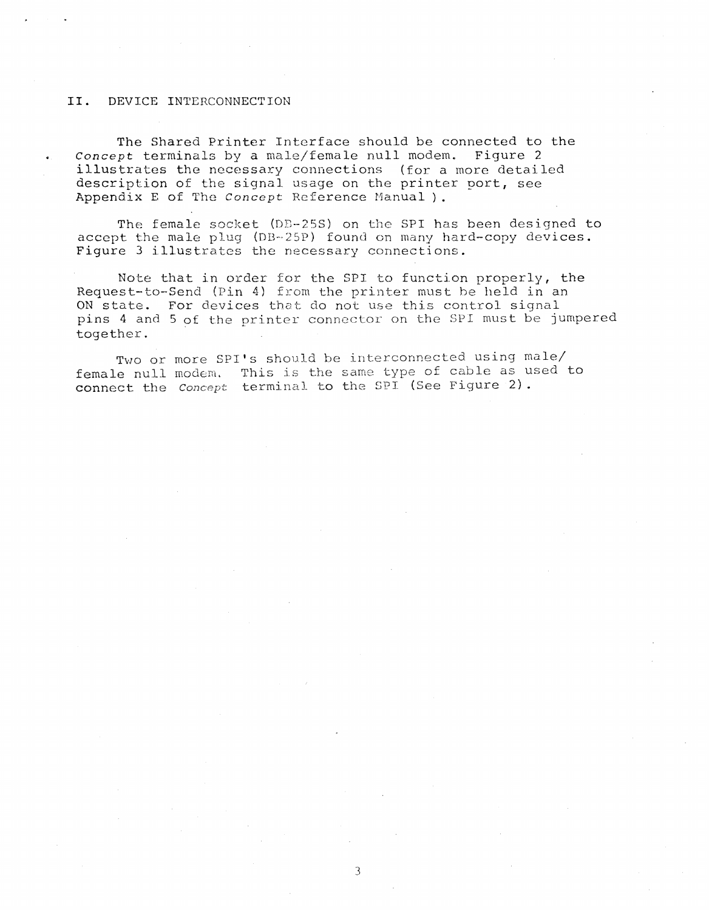#### **II.** DEVICE INTERCONNECTION

The Shared Printer Interface should be connected to the *Concept* terminals by a male/female null modem. Figure 2 illustrates the necessary connections (for a more detailed description of the signal usage on the printer port, see Appendix E of The *concept* Reference Manual) .

The female socket (DD-25S) on the SPI has been designed to accept the male plug (DB-25P) found on many hard-copy devices. Figure 3 illustrates the necessary connections.

Note that in order for the SPI to function properly, the Request-to-Send (Pin 4) from the printer must be held in an ON state. For devices that do not use this control signal pins 4 and 5 of the printer connector on the 8PI must be jumpered together.

Two or more SPI's should be interconnected using male/ female null modem. This is the same type of cable as used to connect the *Concept* terminal to the SPI<sup>(See Figure 2).</sup>

3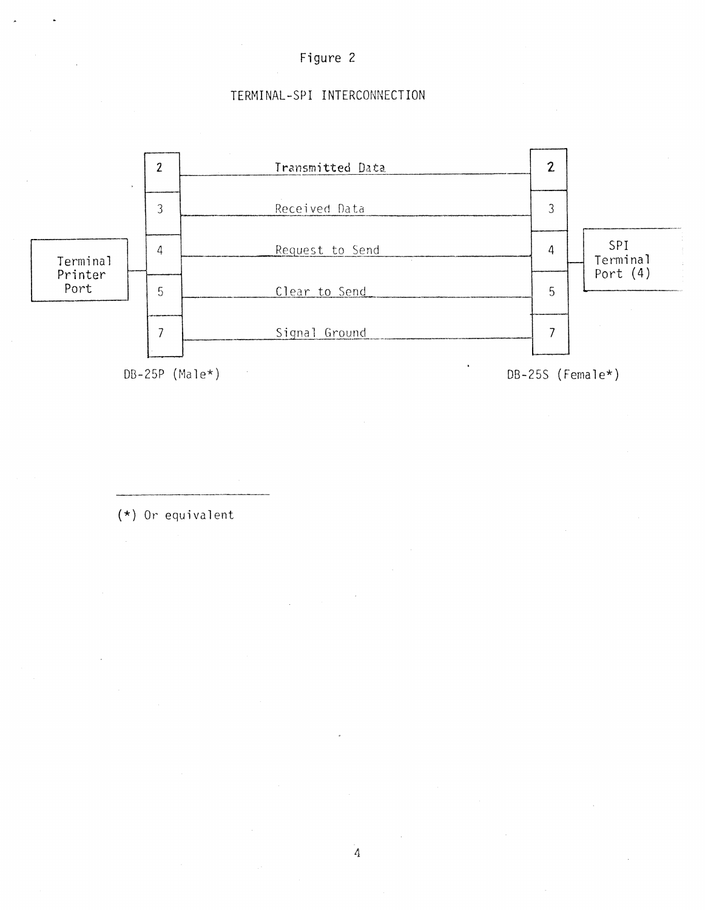

# TERMINAL-SPI INTERCONNECTION



(\*) Or equivalent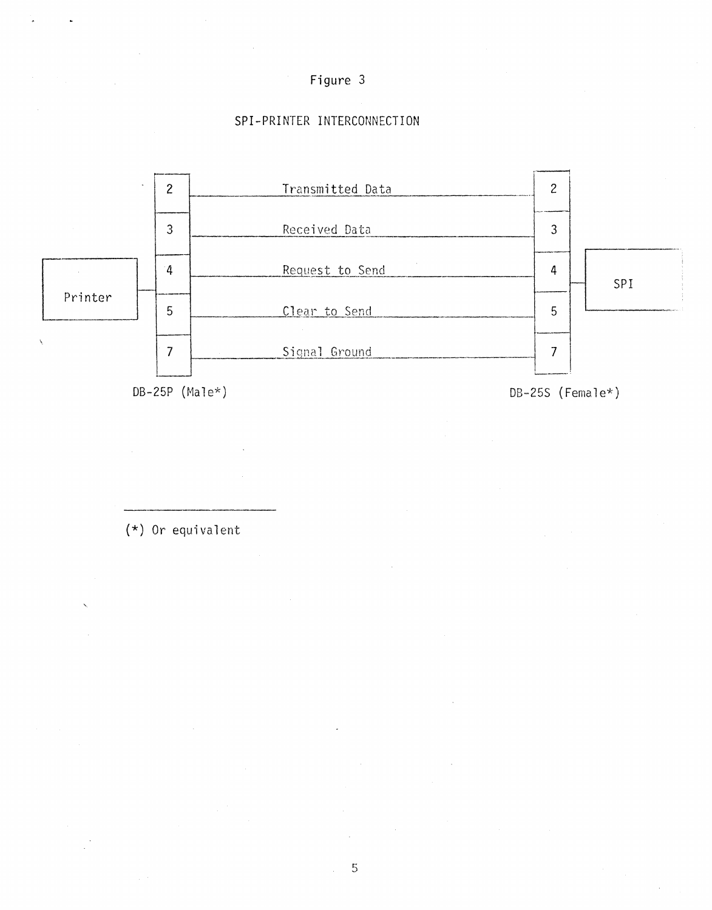

# SPI-PRINTER INTERCONNECTION



 $(*)$  Or equivalent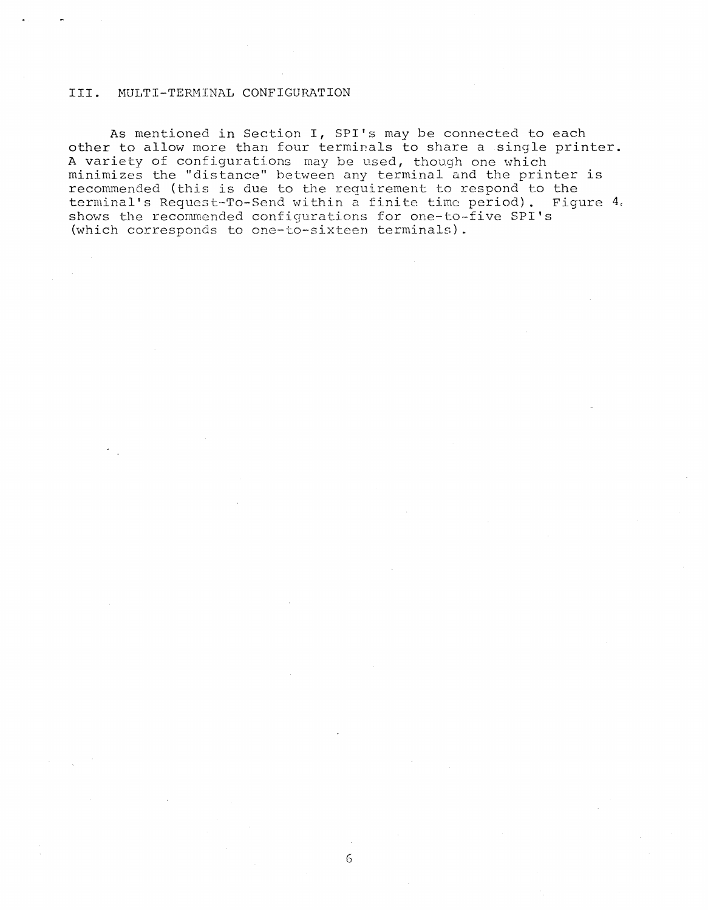#### III. MULTI-TERMINAL CONFIGURATION

As mentioned in Section **I,** SPI's may be connected to each other to allow more than four terminals to share a single printer. A variety of configurations may be used, though one which minimizes the "distance" between any terminal and the printer is recommended (this is due to the requirement to respond to the terminal's Request-To-Send within a finite time period). Figure 4. shows the recommended configurations for one-to-five SPI's (which corresponds to one-to-sixteen terminals).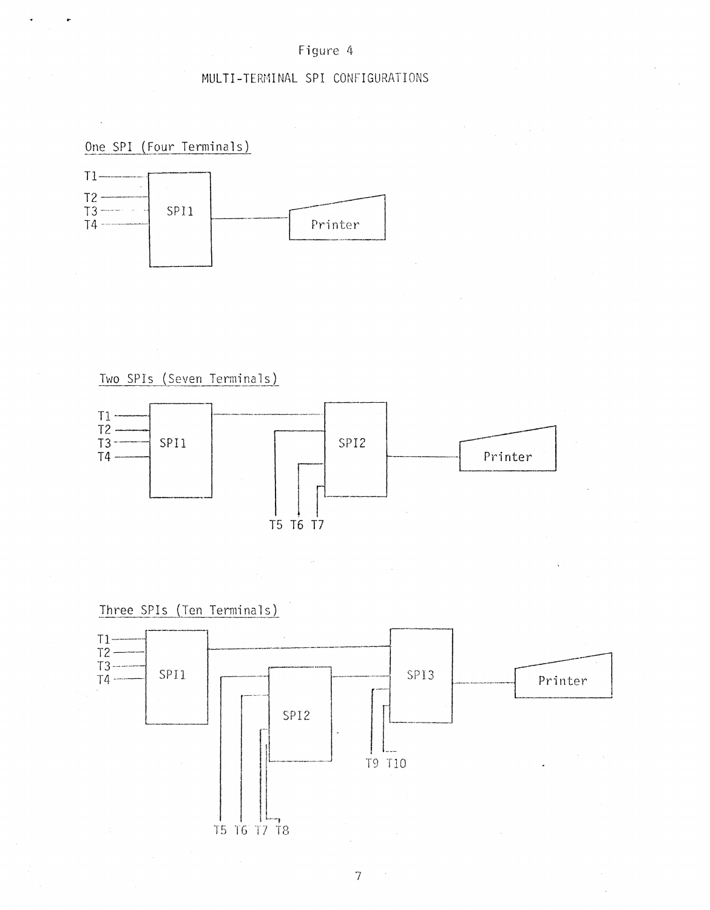### Figure 4

# MULTI-TERMINAL SPI CONFIGURATIONS

One SPI (Four Terminals)



Two SPIs (Seven Terminals)



Three SPIs (Ten Terminals)